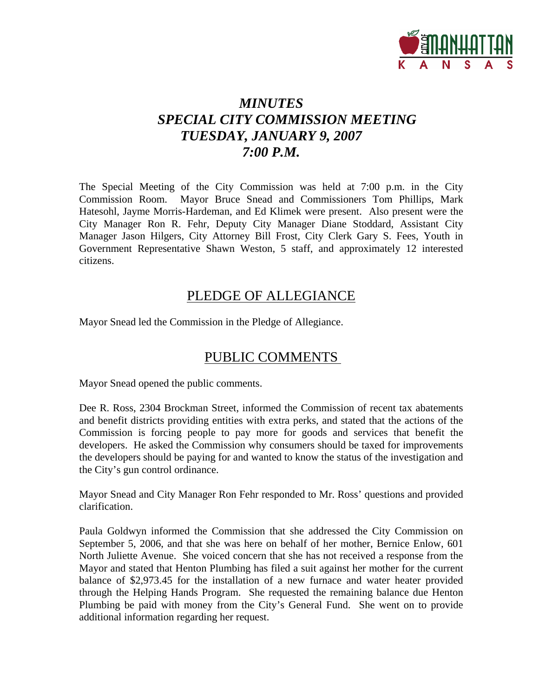

# *MINUTES SPECIAL CITY COMMISSION MEETING TUESDAY, JANUARY 9, 2007 7:00 P.M.*

The Special Meeting of the City Commission was held at 7:00 p.m. in the City Commission Room. Mayor Bruce Snead and Commissioners Tom Phillips, Mark Hatesohl, Jayme Morris-Hardeman, and Ed Klimek were present. Also present were the City Manager Ron R. Fehr, Deputy City Manager Diane Stoddard, Assistant City Manager Jason Hilgers, City Attorney Bill Frost, City Clerk Gary S. Fees, Youth in Government Representative Shawn Weston, 5 staff, and approximately 12 interested citizens.

# PLEDGE OF ALLEGIANCE

Mayor Snead led the Commission in the Pledge of Allegiance.

# PUBLIC COMMENTS

Mayor Snead opened the public comments.

Dee R. Ross, 2304 Brockman Street, informed the Commission of recent tax abatements and benefit districts providing entities with extra perks, and stated that the actions of the Commission is forcing people to pay more for goods and services that benefit the developers. He asked the Commission why consumers should be taxed for improvements the developers should be paying for and wanted to know the status of the investigation and the City's gun control ordinance.

Mayor Snead and City Manager Ron Fehr responded to Mr. Ross' questions and provided clarification.

Paula Goldwyn informed the Commission that she addressed the City Commission on September 5, 2006, and that she was here on behalf of her mother, Bernice Enlow, 601 North Juliette Avenue. She voiced concern that she has not received a response from the Mayor and stated that Henton Plumbing has filed a suit against her mother for the current balance of \$2,973.45 for the installation of a new furnace and water heater provided through the Helping Hands Program. She requested the remaining balance due Henton Plumbing be paid with money from the City's General Fund. She went on to provide additional information regarding her request.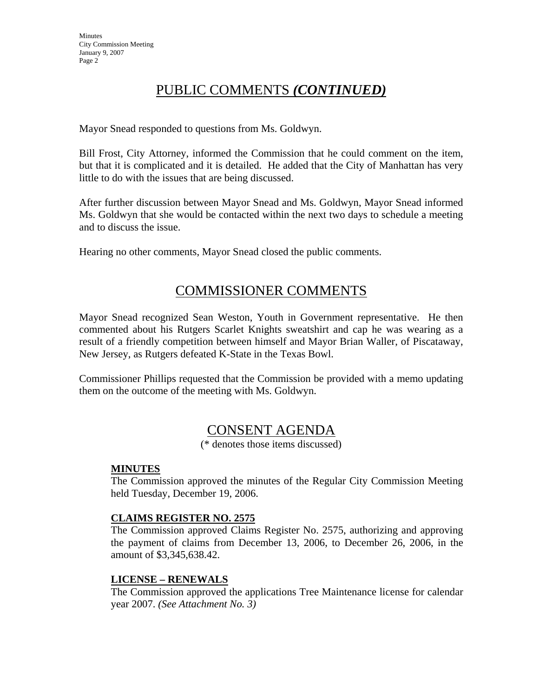# PUBLIC COMMENTS *(CONTINUED)*

Mayor Snead responded to questions from Ms. Goldwyn.

Bill Frost, City Attorney, informed the Commission that he could comment on the item, but that it is complicated and it is detailed. He added that the City of Manhattan has very little to do with the issues that are being discussed.

After further discussion between Mayor Snead and Ms. Goldwyn, Mayor Snead informed Ms. Goldwyn that she would be contacted within the next two days to schedule a meeting and to discuss the issue.

Hearing no other comments, Mayor Snead closed the public comments.

# COMMISSIONER COMMENTS

Mayor Snead recognized Sean Weston, Youth in Government representative. He then commented about his Rutgers Scarlet Knights sweatshirt and cap he was wearing as a result of a friendly competition between himself and Mayor Brian Waller, of Piscataway, New Jersey, as Rutgers defeated K-State in the Texas Bowl.

Commissioner Phillips requested that the Commission be provided with a memo updating them on the outcome of the meeting with Ms. Goldwyn.

# CONSENT AGENDA

(\* denotes those items discussed)

#### **MINUTES**

The Commission approved the minutes of the Regular City Commission Meeting held Tuesday, December 19, 2006.

#### **CLAIMS REGISTER NO. 2575**

The Commission approved Claims Register No. 2575, authorizing and approving the payment of claims from December 13, 2006, to December 26, 2006, in the amount of \$3,345,638.42.

#### **LICENSE – RENEWALS**

The Commission approved the applications Tree Maintenance license for calendar year 2007. *(See Attachment No. 3)*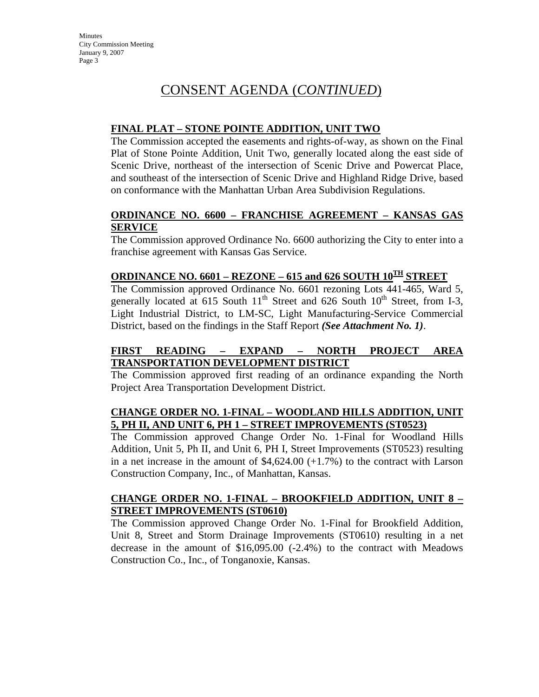# CONSENT AGENDA (*CONTINUED*)

#### **FINAL PLAT – STONE POINTE ADDITION, UNIT TWO**

The Commission accepted the easements and rights-of-way, as shown on the Final Plat of Stone Pointe Addition, Unit Two, generally located along the east side of Scenic Drive, northeast of the intersection of Scenic Drive and Powercat Place, and southeast of the intersection of Scenic Drive and Highland Ridge Drive, based on conformance with the Manhattan Urban Area Subdivision Regulations.

#### **ORDINANCE NO. 6600 – FRANCHISE AGREEMENT – KANSAS GAS SERVICE**

The Commission approved Ordinance No. 6600 authorizing the City to enter into a franchise agreement with Kansas Gas Service.

#### **ORDINANCE NO. 6601 – REZONE – 615 and 626 SOUTH 10<sup>TH</sup> STREET**

The Commission approved Ordinance No. 6601 rezoning Lots 441-465, Ward 5, generally located at 615 South  $11<sup>th</sup>$  Street and 626 South  $10<sup>th</sup>$  Street, from I-3, Light Industrial District, to LM-SC, Light Manufacturing-Service Commercial District, based on the findings in the Staff Report *(See Attachment No. 1)*.

#### **FIRST READING – EXPAND – NORTH PROJECT AREA TRANSPORTATION DEVELOPMENT DISTRICT**

The Commission approved first reading of an ordinance expanding the North Project Area Transportation Development District.

#### **CHANGE ORDER NO. 1-FINAL – WOODLAND HILLS ADDITION, UNIT 5, PH II, AND UNIT 6, PH 1 – STREET IMPROVEMENTS (ST0523)**

The Commission approved Change Order No. 1-Final for Woodland Hills Addition, Unit 5, Ph II, and Unit 6, PH I, Street Improvements (ST0523) resulting in a net increase in the amount of  $$4,624.00 (+1.7%)$  to the contract with Larson Construction Company, Inc., of Manhattan, Kansas.

#### **CHANGE ORDER NO. 1-FINAL – BROOKFIELD ADDITION, UNIT 8 – STREET IMPROVEMENTS (ST0610)**

The Commission approved Change Order No. 1-Final for Brookfield Addition, Unit 8, Street and Storm Drainage Improvements (ST0610) resulting in a net decrease in the amount of \$16,095.00 (-2.4%) to the contract with Meadows Construction Co., Inc., of Tonganoxie, Kansas.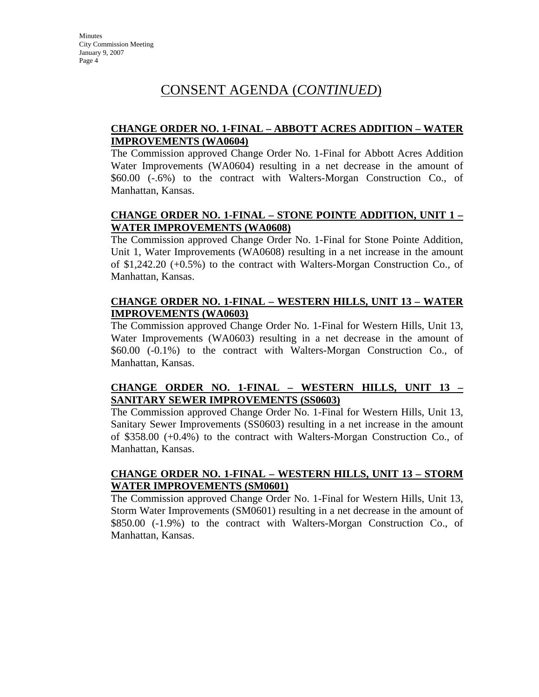# CONSENT AGENDA (*CONTINUED*)

#### **CHANGE ORDER NO. 1-FINAL – ABBOTT ACRES ADDITION – WATER IMPROVEMENTS (WA0604)**

The Commission approved Change Order No. 1-Final for Abbott Acres Addition Water Improvements (WA0604) resulting in a net decrease in the amount of \$60.00 (-.6%) to the contract with Walters-Morgan Construction Co., of Manhattan, Kansas.

### **CHANGE ORDER NO. 1-FINAL – STONE POINTE ADDITION, UNIT 1 – WATER IMPROVEMENTS (WA0608)**

The Commission approved Change Order No. 1-Final for Stone Pointe Addition, Unit 1, Water Improvements (WA0608) resulting in a net increase in the amount of \$1,242.20 (+0.5%) to the contract with Walters-Morgan Construction Co., of Manhattan, Kansas.

#### **CHANGE ORDER NO. 1-FINAL – WESTERN HILLS, UNIT 13 – WATER IMPROVEMENTS (WA0603)**

The Commission approved Change Order No. 1-Final for Western Hills, Unit 13, Water Improvements (WA0603) resulting in a net decrease in the amount of \$60.00 (-0.1%) to the contract with Walters-Morgan Construction Co., of Manhattan, Kansas.

### **CHANGE ORDER NO. 1-FINAL – WESTERN HILLS, UNIT 13 – SANITARY SEWER IMPROVEMENTS (SS0603)**

The Commission approved Change Order No. 1-Final for Western Hills, Unit 13, Sanitary Sewer Improvements (SS0603) resulting in a net increase in the amount of \$358.00 (+0.4%) to the contract with Walters-Morgan Construction Co., of Manhattan, Kansas.

#### **CHANGE ORDER NO. 1-FINAL – WESTERN HILLS, UNIT 13 – STORM WATER IMPROVEMENTS (SM0601)**

The Commission approved Change Order No. 1-Final for Western Hills, Unit 13, Storm Water Improvements (SM0601) resulting in a net decrease in the amount of \$850.00 (-1.9%) to the contract with Walters-Morgan Construction Co., of Manhattan, Kansas.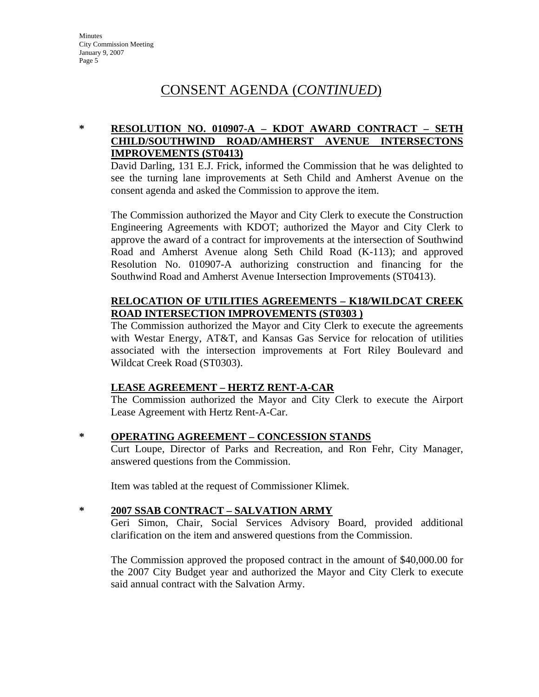# CONSENT AGENDA (*CONTINUED*)

## **\* RESOLUTION NO. 010907-A – KDOT AWARD CONTRACT – SETH CHILD/SOUTHWIND ROAD/AMHERST AVENUE INTERSECTONS IMPROVEMENTS (ST0413)**

David Darling, 131 E.J. Frick, informed the Commission that he was delighted to see the turning lane improvements at Seth Child and Amherst Avenue on the consent agenda and asked the Commission to approve the item.

The Commission authorized the Mayor and City Clerk to execute the Construction Engineering Agreements with KDOT; authorized the Mayor and City Clerk to approve the award of a contract for improvements at the intersection of Southwind Road and Amherst Avenue along Seth Child Road (K-113); and approved Resolution No. 010907-A authorizing construction and financing for the Southwind Road and Amherst Avenue Intersection Improvements (ST0413).

#### **RELOCATION OF UTILITIES AGREEMENTS – K18/WILDCAT CREEK ROAD INTERSECTION IMPROVEMENTS (ST0303 )**

The Commission authorized the Mayor and City Clerk to execute the agreements with Westar Energy, AT&T, and Kansas Gas Service for relocation of utilities associated with the intersection improvements at Fort Riley Boulevard and Wildcat Creek Road (ST0303).

#### **LEASE AGREEMENT – HERTZ RENT-A-CAR**

The Commission authorized the Mayor and City Clerk to execute the Airport Lease Agreement with Hertz Rent-A-Car.

#### **\* OPERATING AGREEMENT – CONCESSION STANDS**

Curt Loupe, Director of Parks and Recreation, and Ron Fehr, City Manager, answered questions from the Commission.

Item was tabled at the request of Commissioner Klimek.

## **\* 2007 SSAB CONTRACT – SALVATION ARMY**

Geri Simon, Chair, Social Services Advisory Board, provided additional clarification on the item and answered questions from the Commission.

The Commission approved the proposed contract in the amount of \$40,000.00 for the 2007 City Budget year and authorized the Mayor and City Clerk to execute said annual contract with the Salvation Army.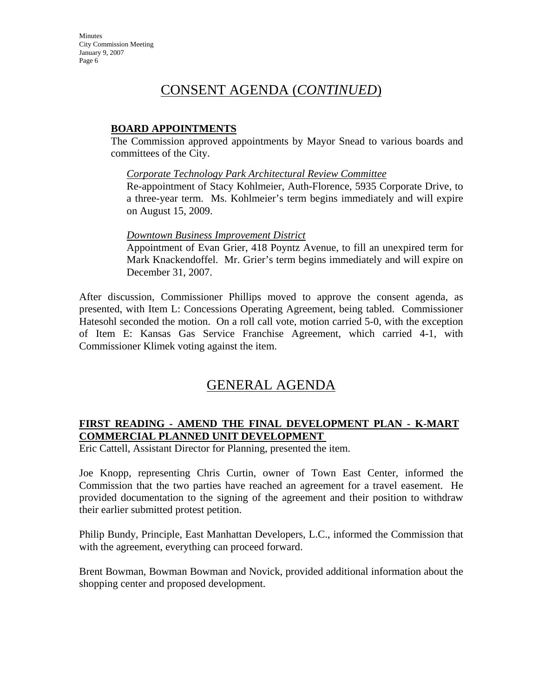## CONSENT AGENDA (*CONTINUED*)

#### **BOARD APPOINTMENTS**

The Commission approved appointments by Mayor Snead to various boards and committees of the City.

#### *Corporate Technology Park Architectural Review Committee*

Re-appointment of Stacy Kohlmeier, Auth-Florence, 5935 Corporate Drive, to a three-year term. Ms. Kohlmeier's term begins immediately and will expire on August 15, 2009.

#### *Downtown Business Improvement District*

Appointment of Evan Grier, 418 Poyntz Avenue, to fill an unexpired term for Mark Knackendoffel. Mr. Grier's term begins immediately and will expire on December 31, 2007.

After discussion, Commissioner Phillips moved to approve the consent agenda, as presented, with Item L: Concessions Operating Agreement, being tabled. Commissioner Hatesohl seconded the motion. On a roll call vote, motion carried 5-0, with the exception of Item E: Kansas Gas Service Franchise Agreement, which carried 4-1, with Commissioner Klimek voting against the item.

## GENERAL AGENDA

#### **FIRST READING - AMEND THE FINAL DEVELOPMENT PLAN - K-MART COMMERCIAL PLANNED UNIT DEVELOPMENT**

Eric Cattell, Assistant Director for Planning, presented the item.

Joe Knopp, representing Chris Curtin, owner of Town East Center, informed the Commission that the two parties have reached an agreement for a travel easement. He provided documentation to the signing of the agreement and their position to withdraw their earlier submitted protest petition.

Philip Bundy, Principle, East Manhattan Developers, L.C., informed the Commission that with the agreement, everything can proceed forward.

Brent Bowman, Bowman Bowman and Novick, provided additional information about the shopping center and proposed development.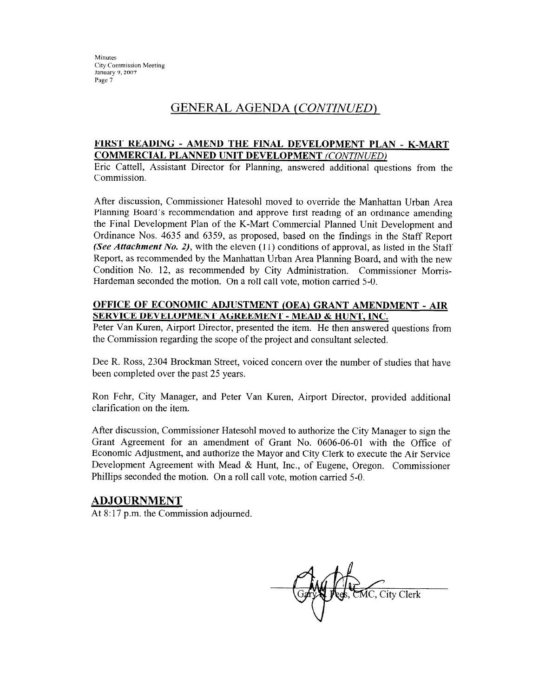### GENERAL AGENDA (*CONTINUED*)

#### FIRST READING - AMEND THE FINAL DEVELOPMENT PLAN - K-MART **COMMERCIAL PLANNED UNIT DEVELOPMENT (CONTINUED)**

Eric Cattell, Assistant Director for Planning, answered additional questions from the Commission.

After discussion, Commissioner Hatesohl moved to override the Manhattan Urban Area Planning Board's recommendation and approve first reading of an ordinance amending the Final Development Plan of the K-Mart Commercial Planned Unit Development and Ordinance Nos. 4635 and 6359, as proposed, based on the findings in the Staff Report (See Attachment No. 2), with the eleven  $(11)$  conditions of approval, as listed in the Staff Report, as recommended by the Manhattan Urban Area Planning Board, and with the new Condition No. 12, as recommended by City Administration. Commissioner Morris-Hardeman seconded the motion. On a roll call vote, motion carried 5-0.

#### OFFICE OF ECONOMIC ADJUSTMENT (OEA) GRANT AMENDMENT - AIR SERVICE DEVELOPMENT AGREEMENT - MEAD & HUNT, INC.

Peter Van Kuren, Airport Director, presented the item. He then answered questions from the Commission regarding the scope of the project and consultant selected.

Dee R. Ross, 2304 Brockman Street, voiced concern over the number of studies that have been completed over the past 25 years.

Ron Fehr, City Manager, and Peter Van Kuren, Airport Director, provided additional clarification on the item.

After discussion, Commissioner Hatesohl moved to authorize the City Manager to sign the Grant Agreement for an amendment of Grant No. 0606-06-01 with the Office of Economic Adjustment, and authorize the Mayor and City Clerk to execute the Air Service Development Agreement with Mead & Hunt, Inc., of Eugene, Oregon. Commissioner Phillips seconded the motion. On a roll call vote, motion carried 5-0.

#### **ADJOURNMENT**

At 8:17 p.m. the Commission adjourned.

MC, City Clerk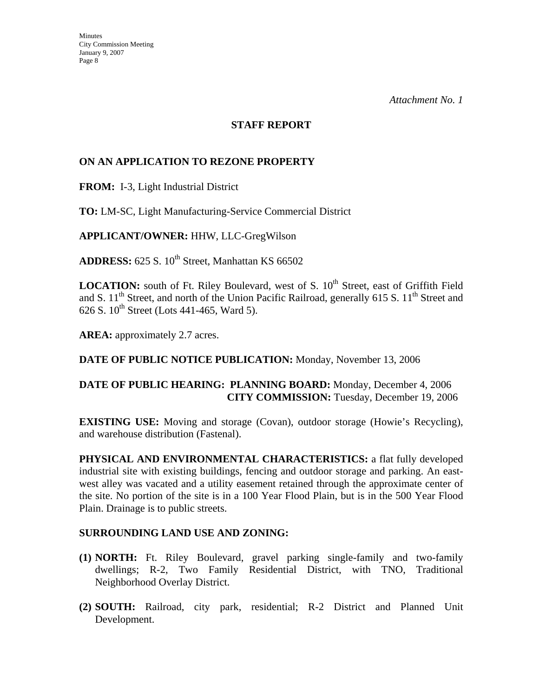#### **STAFF REPORT**

#### **ON AN APPLICATION TO REZONE PROPERTY**

**FROM:** I-3, Light Industrial District

**TO:** LM-SC, Light Manufacturing-Service Commercial District

**APPLICANT/OWNER:** HHW, LLC-GregWilson

ADDRESS: 625 S. 10<sup>th</sup> Street, Manhattan KS 66502

**LOCATION:** south of Ft. Riley Boulevard, west of S. 10<sup>th</sup> Street, east of Griffith Field and S.  $11<sup>th</sup>$  Street, and north of the Union Pacific Railroad, generally 615 S.  $11<sup>th</sup>$  Street and 626 S.  $10^{th}$  Street (Lots 441-465, Ward 5).

**AREA:** approximately 2.7 acres.

#### **DATE OF PUBLIC NOTICE PUBLICATION:** Monday, November 13, 2006

### **DATE OF PUBLIC HEARING: PLANNING BOARD:** Monday, December 4, 2006 **CITY COMMISSION:** Tuesday, December 19, 2006

**EXISTING USE:** Moving and storage (Covan), outdoor storage (Howie's Recycling), and warehouse distribution (Fastenal).

**PHYSICAL AND ENVIRONMENTAL CHARACTERISTICS:** a flat fully developed industrial site with existing buildings, fencing and outdoor storage and parking. An eastwest alley was vacated and a utility easement retained through the approximate center of the site. No portion of the site is in a 100 Year Flood Plain, but is in the 500 Year Flood Plain. Drainage is to public streets.

#### **SURROUNDING LAND USE AND ZONING:**

- **(1) NORTH:** Ft. Riley Boulevard, gravel parking single-family and two-family dwellings; R-2, Two Family Residential District, with TNO, Traditional Neighborhood Overlay District.
- **(2) SOUTH:** Railroad, city park, residential; R-2 District and Planned Unit Development.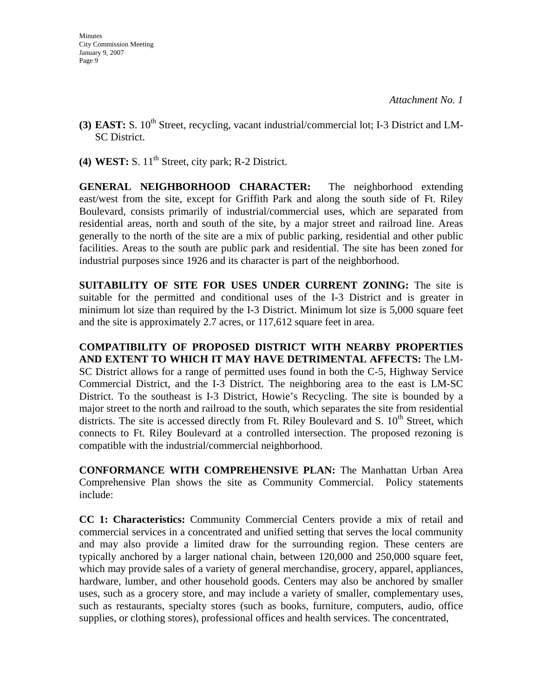- **(3) EAST:** S. 10<sup>th</sup> Street, recycling, vacant industrial/commercial lot; I-3 District and LM-SC District.
- **(4) WEST:** S.  $11<sup>th</sup>$  Street, city park; R-2 District.

**GENERAL NEIGHBORHOOD CHARACTER:** The neighborhood extending east/west from the site, except for Griffith Park and along the south side of Ft. Riley Boulevard, consists primarily of industrial/commercial uses, which are separated from residential areas, north and south of the site, by a major street and railroad line. Areas generally to the north of the site are a mix of public parking, residential and other public facilities. Areas to the south are public park and residential. The site has been zoned for industrial purposes since 1926 and its character is part of the neighborhood.

**SUITABILITY OF SITE FOR USES UNDER CURRENT ZONING:** The site is suitable for the permitted and conditional uses of the I-3 District and is greater in minimum lot size than required by the I-3 District. Minimum lot size is 5,000 square feet and the site is approximately 2.7 acres, or 117,612 square feet in area.

**COMPATIBILITY OF PROPOSED DISTRICT WITH NEARBY PROPERTIES AND EXTENT TO WHICH IT MAY HAVE DETRIMENTAL AFFECTS:** The LM-SC District allows for a range of permitted uses found in both the C-5, Highway Service Commercial District, and the I-3 District. The neighboring area to the east is LM-SC District. To the southeast is I-3 District, Howie's Recycling. The site is bounded by a major street to the north and railroad to the south, which separates the site from residential districts. The site is accessed directly from Ft. Riley Boulevard and S.  $10^{th}$  Street, which connects to Ft. Riley Boulevard at a controlled intersection. The proposed rezoning is compatible with the industrial/commercial neighborhood.

**CONFORMANCE WITH COMPREHENSIVE PLAN:** The Manhattan Urban Area Comprehensive Plan shows the site as Community Commercial. Policy statements include:

**CC 1: Characteristics:** Community Commercial Centers provide a mix of retail and commercial services in a concentrated and unified setting that serves the local community and may also provide a limited draw for the surrounding region. These centers are typically anchored by a larger national chain, between 120,000 and 250,000 square feet, which may provide sales of a variety of general merchandise, grocery, apparel, appliances, hardware, lumber, and other household goods. Centers may also be anchored by smaller uses, such as a grocery store, and may include a variety of smaller, complementary uses, such as restaurants, specialty stores (such as books, furniture, computers, audio, office supplies, or clothing stores), professional offices and health services. The concentrated,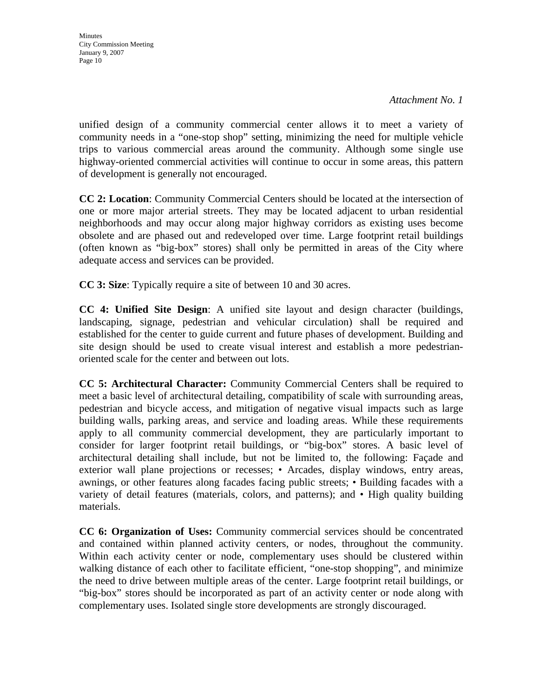**Minutes** City Commission Meeting January 9, 2007 Page 10

unified design of a community commercial center allows it to meet a variety of community needs in a "one-stop shop" setting, minimizing the need for multiple vehicle trips to various commercial areas around the community. Although some single use highway-oriented commercial activities will continue to occur in some areas, this pattern of development is generally not encouraged.

**CC 2: Location**: Community Commercial Centers should be located at the intersection of one or more major arterial streets. They may be located adjacent to urban residential neighborhoods and may occur along major highway corridors as existing uses become obsolete and are phased out and redeveloped over time. Large footprint retail buildings (often known as "big-box" stores) shall only be permitted in areas of the City where adequate access and services can be provided.

**CC 3: Size**: Typically require a site of between 10 and 30 acres.

**CC 4: Unified Site Design**: A unified site layout and design character (buildings, landscaping, signage, pedestrian and vehicular circulation) shall be required and established for the center to guide current and future phases of development. Building and site design should be used to create visual interest and establish a more pedestrianoriented scale for the center and between out lots.

**CC 5: Architectural Character:** Community Commercial Centers shall be required to meet a basic level of architectural detailing, compatibility of scale with surrounding areas, pedestrian and bicycle access, and mitigation of negative visual impacts such as large building walls, parking areas, and service and loading areas. While these requirements apply to all community commercial development, they are particularly important to consider for larger footprint retail buildings, or "big-box" stores. A basic level of architectural detailing shall include, but not be limited to, the following: Façade and exterior wall plane projections or recesses; • Arcades, display windows, entry areas, awnings, or other features along facades facing public streets; • Building facades with a variety of detail features (materials, colors, and patterns); and • High quality building materials.

**CC 6: Organization of Uses:** Community commercial services should be concentrated and contained within planned activity centers, or nodes, throughout the community. Within each activity center or node, complementary uses should be clustered within walking distance of each other to facilitate efficient, "one-stop shopping", and minimize the need to drive between multiple areas of the center. Large footprint retail buildings, or "big-box" stores should be incorporated as part of an activity center or node along with complementary uses. Isolated single store developments are strongly discouraged.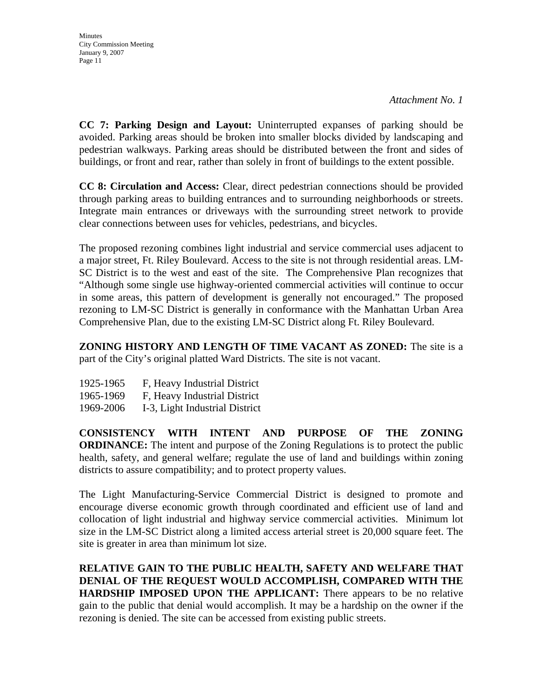*Attachment No. 1* 

**CC 7: Parking Design and Layout:** Uninterrupted expanses of parking should be avoided. Parking areas should be broken into smaller blocks divided by landscaping and pedestrian walkways. Parking areas should be distributed between the front and sides of buildings, or front and rear, rather than solely in front of buildings to the extent possible.

**CC 8: Circulation and Access:** Clear, direct pedestrian connections should be provided through parking areas to building entrances and to surrounding neighborhoods or streets. Integrate main entrances or driveways with the surrounding street network to provide clear connections between uses for vehicles, pedestrians, and bicycles.

The proposed rezoning combines light industrial and service commercial uses adjacent to a major street, Ft. Riley Boulevard. Access to the site is not through residential areas. LM-SC District is to the west and east of the site. The Comprehensive Plan recognizes that "Although some single use highway-oriented commercial activities will continue to occur in some areas, this pattern of development is generally not encouraged." The proposed rezoning to LM-SC District is generally in conformance with the Manhattan Urban Area Comprehensive Plan, due to the existing LM-SC District along Ft. Riley Boulevard.

**ZONING HISTORY AND LENGTH OF TIME VACANT AS ZONED:** The site is a part of the City's original platted Ward Districts. The site is not vacant.

| 1925-1965 | F, Heavy Industrial District |
|-----------|------------------------------|
| 1965-1969 | F, Heavy Industrial District |

1969-2006 I-3, Light Industrial District

**CONSISTENCY WITH INTENT AND PURPOSE OF THE ZONING ORDINANCE:** The intent and purpose of the Zoning Regulations is to protect the public health, safety, and general welfare; regulate the use of land and buildings within zoning districts to assure compatibility; and to protect property values.

The Light Manufacturing-Service Commercial District is designed to promote and encourage diverse economic growth through coordinated and efficient use of land and collocation of light industrial and highway service commercial activities. Minimum lot size in the LM-SC District along a limited access arterial street is 20,000 square feet. The site is greater in area than minimum lot size.

**RELATIVE GAIN TO THE PUBLIC HEALTH, SAFETY AND WELFARE THAT DENIAL OF THE REQUEST WOULD ACCOMPLISH, COMPARED WITH THE HARDSHIP IMPOSED UPON THE APPLICANT:** There appears to be no relative gain to the public that denial would accomplish. It may be a hardship on the owner if the rezoning is denied. The site can be accessed from existing public streets.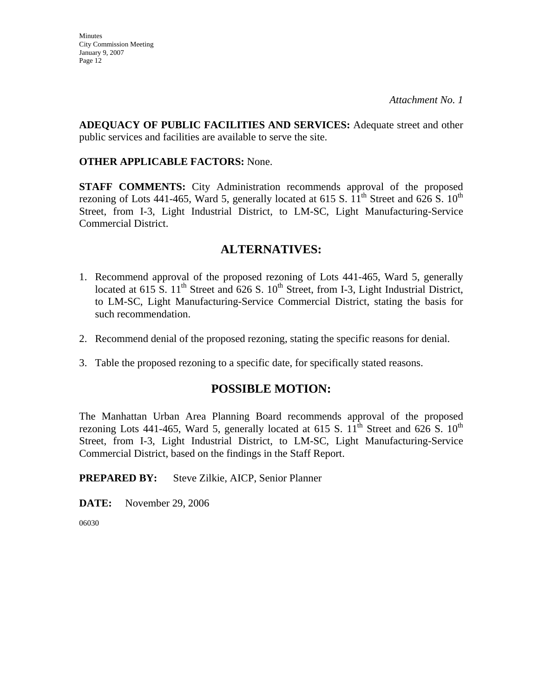**ADEQUACY OF PUBLIC FACILITIES AND SERVICES:** Adequate street and other public services and facilities are available to serve the site.

#### **OTHER APPLICABLE FACTORS:** None.

**STAFF COMMENTS:** City Administration recommends approval of the proposed rezoning of Lots 441-465, Ward 5, generally located at 615 S.  $11<sup>th</sup>$  Street and 626 S.  $10<sup>th</sup>$ Street, from I-3, Light Industrial District, to LM-SC, Light Manufacturing-Service Commercial District.

## **ALTERNATIVES:**

- 1. Recommend approval of the proposed rezoning of Lots 441-465, Ward 5, generally located at 615 S.  $11<sup>th</sup>$  Street and 626 S.  $10<sup>th</sup>$  Street, from I-3, Light Industrial District, to LM-SC, Light Manufacturing-Service Commercial District, stating the basis for such recommendation.
- 2. Recommend denial of the proposed rezoning, stating the specific reasons for denial.
- 3. Table the proposed rezoning to a specific date, for specifically stated reasons.

## **POSSIBLE MOTION:**

The Manhattan Urban Area Planning Board recommends approval of the proposed rezoning Lots 441-465, Ward 5, generally located at 615 S.  $11<sup>th</sup>$  Street and 626 S.  $10<sup>th</sup>$ Street, from I-3, Light Industrial District, to LM-SC, Light Manufacturing-Service Commercial District, based on the findings in the Staff Report.

#### **PREPARED BY:** Steve Zilkie, AICP, Senior Planner

**DATE:** November 29, 2006

06030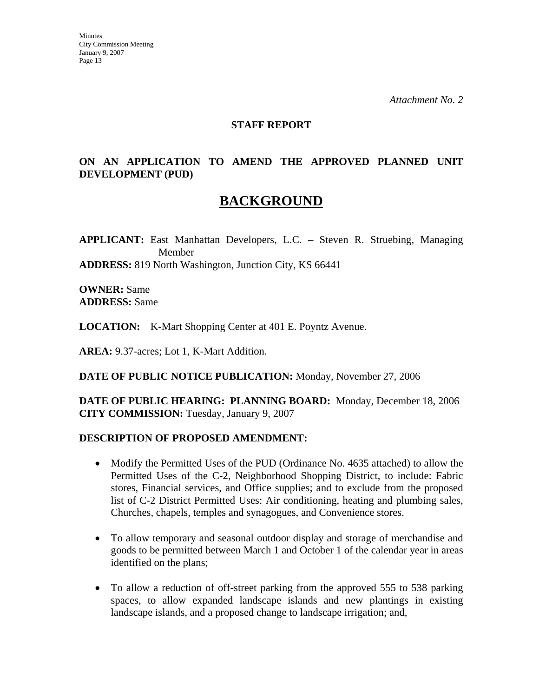#### **STAFF REPORT**

### **ON AN APPLICATION TO AMEND THE APPROVED PLANNED UNIT DEVELOPMENT (PUD)**

# **BACKGROUND**

**APPLICANT:** East Manhattan Developers, L.C. – Steven R. Struebing, Managing Member **ADDRESS:** 819 North Washington, Junction City, KS 66441

**OWNER:** Same **ADDRESS:** Same

**LOCATION:** K-Mart Shopping Center at 401 E. Poyntz Avenue.

**AREA:** 9.37-acres; Lot 1, K-Mart Addition.

**DATE OF PUBLIC NOTICE PUBLICATION:** Monday, November 27, 2006

**DATE OF PUBLIC HEARING: PLANNING BOARD:** Monday, December 18, 2006 **CITY COMMISSION:** Tuesday, January 9, 2007

#### **DESCRIPTION OF PROPOSED AMENDMENT:**

- Modify the Permitted Uses of the PUD (Ordinance No. 4635 attached) to allow the Permitted Uses of the C-2, Neighborhood Shopping District, to include: Fabric stores, Financial services, and Office supplies; and to exclude from the proposed list of C-2 District Permitted Uses: Air conditioning, heating and plumbing sales, Churches, chapels, temples and synagogues, and Convenience stores.
- To allow temporary and seasonal outdoor display and storage of merchandise and goods to be permitted between March 1 and October 1 of the calendar year in areas identified on the plans;
- To allow a reduction of off-street parking from the approved 555 to 538 parking spaces, to allow expanded landscape islands and new plantings in existing landscape islands, and a proposed change to landscape irrigation; and,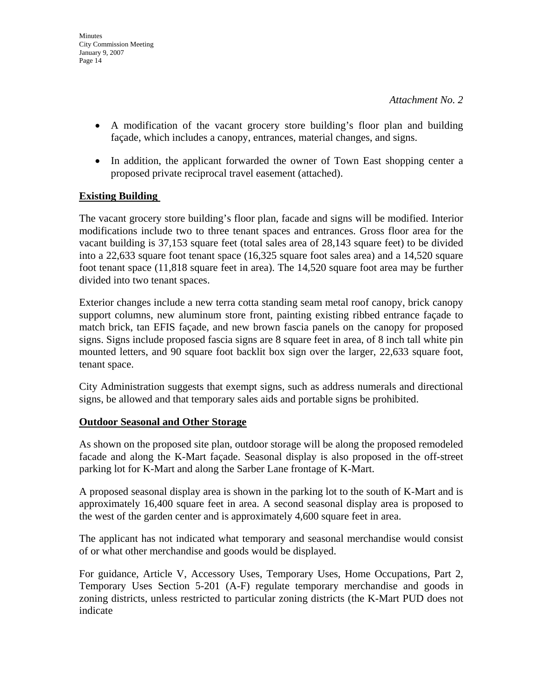- A modification of the vacant grocery store building's floor plan and building façade, which includes a canopy, entrances, material changes, and signs.
- In addition, the applicant forwarded the owner of Town East shopping center a proposed private reciprocal travel easement (attached).

### **Existing Building**

The vacant grocery store building's floor plan, facade and signs will be modified. Interior modifications include two to three tenant spaces and entrances. Gross floor area for the vacant building is 37,153 square feet (total sales area of 28,143 square feet) to be divided into a 22,633 square foot tenant space (16,325 square foot sales area) and a 14,520 square foot tenant space (11,818 square feet in area). The 14,520 square foot area may be further divided into two tenant spaces.

Exterior changes include a new terra cotta standing seam metal roof canopy, brick canopy support columns, new aluminum store front, painting existing ribbed entrance façade to match brick, tan EFIS façade, and new brown fascia panels on the canopy for proposed signs. Signs include proposed fascia signs are 8 square feet in area, of 8 inch tall white pin mounted letters, and 90 square foot backlit box sign over the larger, 22,633 square foot, tenant space.

City Administration suggests that exempt signs, such as address numerals and directional signs, be allowed and that temporary sales aids and portable signs be prohibited.

#### **Outdoor Seasonal and Other Storage**

As shown on the proposed site plan, outdoor storage will be along the proposed remodeled facade and along the K-Mart façade. Seasonal display is also proposed in the off-street parking lot for K-Mart and along the Sarber Lane frontage of K-Mart.

A proposed seasonal display area is shown in the parking lot to the south of K-Mart and is approximately 16,400 square feet in area. A second seasonal display area is proposed to the west of the garden center and is approximately 4,600 square feet in area.

The applicant has not indicated what temporary and seasonal merchandise would consist of or what other merchandise and goods would be displayed.

For guidance, Article V, Accessory Uses, Temporary Uses, Home Occupations, Part 2, Temporary Uses Section 5-201 (A-F) regulate temporary merchandise and goods in zoning districts, unless restricted to particular zoning districts (the K-Mart PUD does not indicate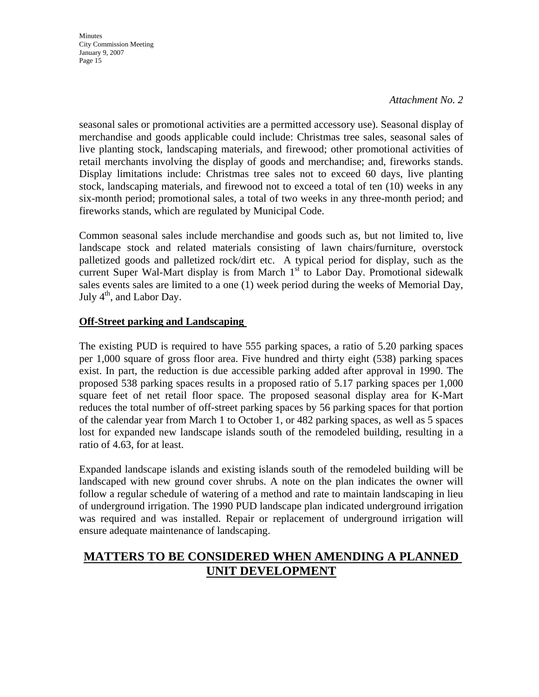#### *Attachment No. 2*

seasonal sales or promotional activities are a permitted accessory use). Seasonal display of merchandise and goods applicable could include: Christmas tree sales, seasonal sales of live planting stock, landscaping materials, and firewood; other promotional activities of retail merchants involving the display of goods and merchandise; and, fireworks stands. Display limitations include: Christmas tree sales not to exceed 60 days, live planting stock, landscaping materials, and firewood not to exceed a total of ten (10) weeks in any six-month period; promotional sales, a total of two weeks in any three-month period; and fireworks stands, which are regulated by Municipal Code.

Common seasonal sales include merchandise and goods such as, but not limited to, live landscape stock and related materials consisting of lawn chairs/furniture, overstock palletized goods and palletized rock/dirt etc. A typical period for display, such as the current Super Wal-Mart display is from March  $1<sup>st</sup>$  to Labor Day. Promotional sidewalk sales events sales are limited to a one (1) week period during the weeks of Memorial Day, July  $4<sup>th</sup>$ , and Labor Day.

### **Off-Street parking and Landscaping**

The existing PUD is required to have 555 parking spaces, a ratio of 5.20 parking spaces per 1,000 square of gross floor area. Five hundred and thirty eight (538) parking spaces exist. In part, the reduction is due accessible parking added after approval in 1990. The proposed 538 parking spaces results in a proposed ratio of 5.17 parking spaces per 1,000 square feet of net retail floor space. The proposed seasonal display area for K-Mart reduces the total number of off-street parking spaces by 56 parking spaces for that portion of the calendar year from March 1 to October 1, or 482 parking spaces, as well as 5 spaces lost for expanded new landscape islands south of the remodeled building, resulting in a ratio of 4.63, for at least.

Expanded landscape islands and existing islands south of the remodeled building will be landscaped with new ground cover shrubs. A note on the plan indicates the owner will follow a regular schedule of watering of a method and rate to maintain landscaping in lieu of underground irrigation. The 1990 PUD landscape plan indicated underground irrigation was required and was installed. Repair or replacement of underground irrigation will ensure adequate maintenance of landscaping.

## **MATTERS TO BE CONSIDERED WHEN AMENDING A PLANNED UNIT DEVELOPMENT**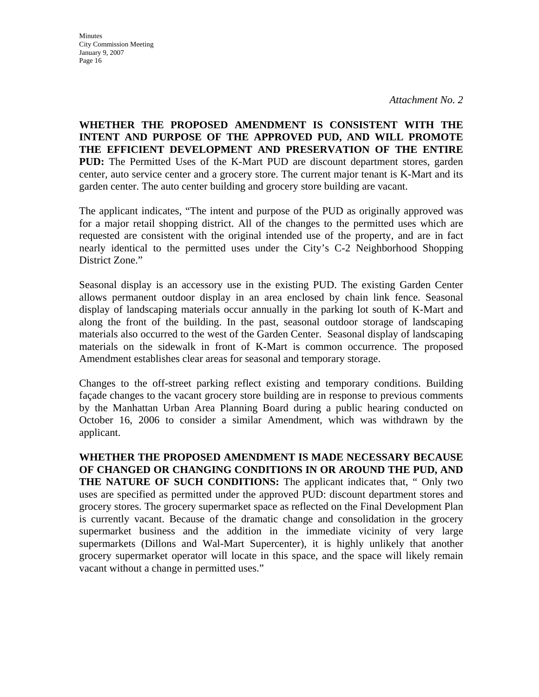*Attachment No. 2* 

**WHETHER THE PROPOSED AMENDMENT IS CONSISTENT WITH THE INTENT AND PURPOSE OF THE APPROVED PUD, AND WILL PROMOTE THE EFFICIENT DEVELOPMENT AND PRESERVATION OF THE ENTIRE PUD:** The Permitted Uses of the K-Mart PUD are discount department stores, garden center, auto service center and a grocery store. The current major tenant is K-Mart and its garden center. The auto center building and grocery store building are vacant.

The applicant indicates, "The intent and purpose of the PUD as originally approved was for a major retail shopping district. All of the changes to the permitted uses which are requested are consistent with the original intended use of the property, and are in fact nearly identical to the permitted uses under the City's C-2 Neighborhood Shopping District Zone."

Seasonal display is an accessory use in the existing PUD. The existing Garden Center allows permanent outdoor display in an area enclosed by chain link fence. Seasonal display of landscaping materials occur annually in the parking lot south of K-Mart and along the front of the building. In the past, seasonal outdoor storage of landscaping materials also occurred to the west of the Garden Center. Seasonal display of landscaping materials on the sidewalk in front of K-Mart is common occurrence. The proposed Amendment establishes clear areas for seasonal and temporary storage.

Changes to the off-street parking reflect existing and temporary conditions. Building façade changes to the vacant grocery store building are in response to previous comments by the Manhattan Urban Area Planning Board during a public hearing conducted on October 16, 2006 to consider a similar Amendment, which was withdrawn by the applicant.

**WHETHER THE PROPOSED AMENDMENT IS MADE NECESSARY BECAUSE OF CHANGED OR CHANGING CONDITIONS IN OR AROUND THE PUD, AND THE NATURE OF SUCH CONDITIONS:** The applicant indicates that, " Only two uses are specified as permitted under the approved PUD: discount department stores and grocery stores. The grocery supermarket space as reflected on the Final Development Plan is currently vacant. Because of the dramatic change and consolidation in the grocery supermarket business and the addition in the immediate vicinity of very large supermarkets (Dillons and Wal-Mart Supercenter), it is highly unlikely that another grocery supermarket operator will locate in this space, and the space will likely remain vacant without a change in permitted uses."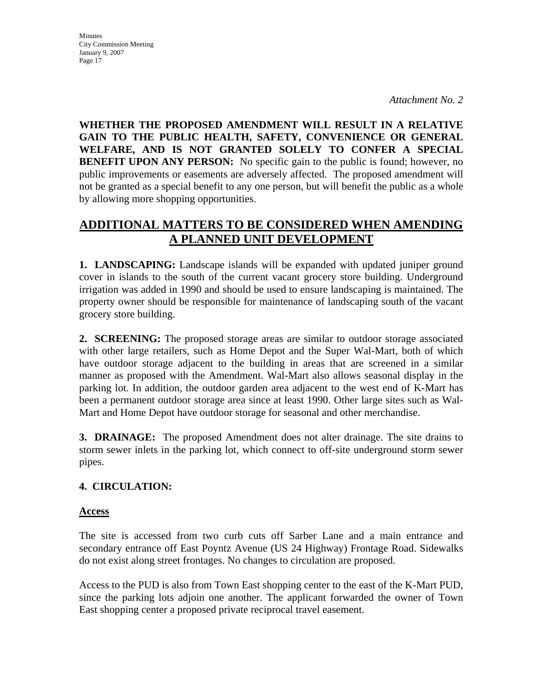*Attachment No. 2* 

**WHETHER THE PROPOSED AMENDMENT WILL RESULT IN A RELATIVE GAIN TO THE PUBLIC HEALTH, SAFETY, CONVENIENCE OR GENERAL WELFARE, AND IS NOT GRANTED SOLELY TO CONFER A SPECIAL BENEFIT UPON ANY PERSON:** No specific gain to the public is found; however, no public improvements or easements are adversely affected. The proposed amendment will not be granted as a special benefit to any one person, but will benefit the public as a whole by allowing more shopping opportunities.

## **ADDITIONAL MATTERS TO BE CONSIDERED WHEN AMENDING A PLANNED UNIT DEVELOPMENT**

**1. LANDSCAPING:** Landscape islands will be expanded with updated juniper ground cover in islands to the south of the current vacant grocery store building. Underground irrigation was added in 1990 and should be used to ensure landscaping is maintained. The property owner should be responsible for maintenance of landscaping south of the vacant grocery store building.

**2. SCREENING:** The proposed storage areas are similar to outdoor storage associated with other large retailers, such as Home Depot and the Super Wal-Mart, both of which have outdoor storage adjacent to the building in areas that are screened in a similar manner as proposed with the Amendment. Wal-Mart also allows seasonal display in the parking lot. In addition, the outdoor garden area adjacent to the west end of K-Mart has been a permanent outdoor storage area since at least 1990. Other large sites such as Wal-Mart and Home Depot have outdoor storage for seasonal and other merchandise.

**3. DRAINAGE:** The proposed Amendment does not alter drainage. The site drains to storm sewer inlets in the parking lot, which connect to off-site underground storm sewer pipes.

## **4. CIRCULATION:**

#### **Access**

The site is accessed from two curb cuts off Sarber Lane and a main entrance and secondary entrance off East Poyntz Avenue (US 24 Highway) Frontage Road. Sidewalks do not exist along street frontages. No changes to circulation are proposed.

Access to the PUD is also from Town East shopping center to the east of the K-Mart PUD, since the parking lots adjoin one another. The applicant forwarded the owner of Town East shopping center a proposed private reciprocal travel easement.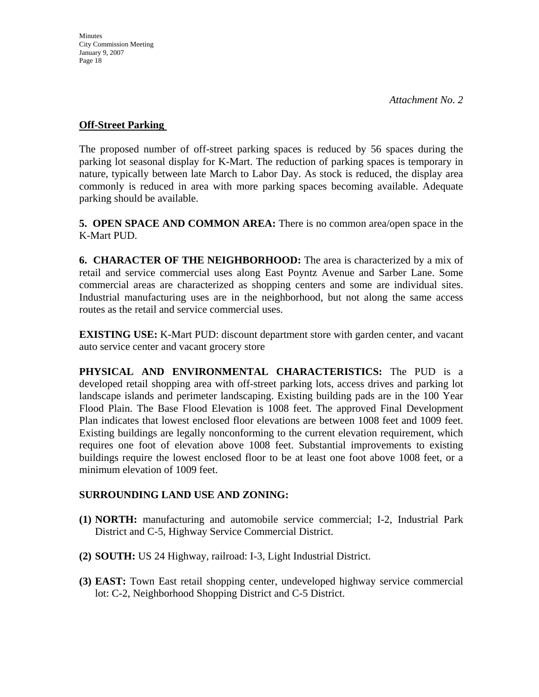#### **Off-Street Parking**

The proposed number of off-street parking spaces is reduced by 56 spaces during the parking lot seasonal display for K-Mart. The reduction of parking spaces is temporary in nature, typically between late March to Labor Day. As stock is reduced, the display area commonly is reduced in area with more parking spaces becoming available. Adequate parking should be available.

**5. OPEN SPACE AND COMMON AREA:** There is no common area/open space in the K-Mart PUD.

**6. CHARACTER OF THE NEIGHBORHOOD:** The area is characterized by a mix of retail and service commercial uses along East Poyntz Avenue and Sarber Lane. Some commercial areas are characterized as shopping centers and some are individual sites. Industrial manufacturing uses are in the neighborhood, but not along the same access routes as the retail and service commercial uses.

**EXISTING USE:** K-Mart PUD: discount department store with garden center, and vacant auto service center and vacant grocery store

**PHYSICAL AND ENVIRONMENTAL CHARACTERISTICS:** The PUD is a developed retail shopping area with off-street parking lots, access drives and parking lot landscape islands and perimeter landscaping. Existing building pads are in the 100 Year Flood Plain. The Base Flood Elevation is 1008 feet. The approved Final Development Plan indicates that lowest enclosed floor elevations are between 1008 feet and 1009 feet. Existing buildings are legally nonconforming to the current elevation requirement, which requires one foot of elevation above 1008 feet. Substantial improvements to existing buildings require the lowest enclosed floor to be at least one foot above 1008 feet, or a minimum elevation of 1009 feet.

#### **SURROUNDING LAND USE AND ZONING:**

- **(1) NORTH:** manufacturing and automobile service commercial; I-2, Industrial Park District and C-5, Highway Service Commercial District.
- **(2) SOUTH:** US 24 Highway, railroad: I-3, Light Industrial District.
- **(3) EAST:** Town East retail shopping center, undeveloped highway service commercial lot: C-2, Neighborhood Shopping District and C-5 District.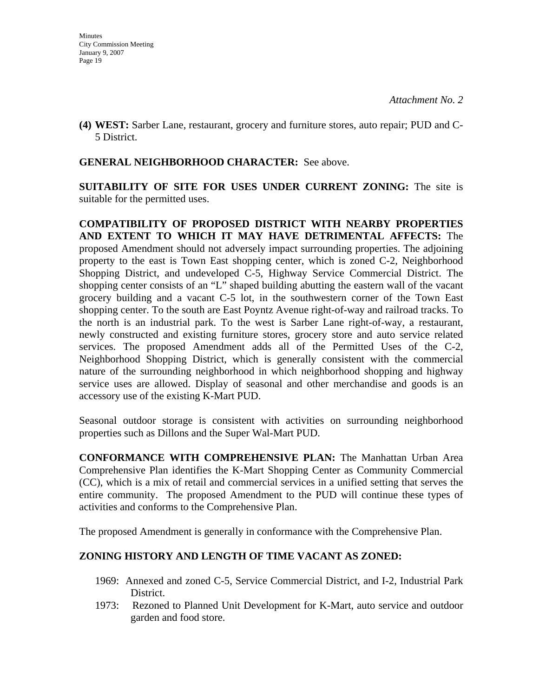**(4) WEST:** Sarber Lane, restaurant, grocery and furniture stores, auto repair; PUD and C-5 District.

#### **GENERAL NEIGHBORHOOD CHARACTER:** See above.

**SUITABILITY OF SITE FOR USES UNDER CURRENT ZONING:** The site is suitable for the permitted uses.

**COMPATIBILITY OF PROPOSED DISTRICT WITH NEARBY PROPERTIES AND EXTENT TO WHICH IT MAY HAVE DETRIMENTAL AFFECTS:** The proposed Amendment should not adversely impact surrounding properties. The adjoining property to the east is Town East shopping center, which is zoned C-2, Neighborhood Shopping District, and undeveloped C-5, Highway Service Commercial District. The shopping center consists of an "L" shaped building abutting the eastern wall of the vacant grocery building and a vacant C-5 lot, in the southwestern corner of the Town East shopping center. To the south are East Poyntz Avenue right-of-way and railroad tracks. To the north is an industrial park. To the west is Sarber Lane right-of-way, a restaurant, newly constructed and existing furniture stores, grocery store and auto service related services. The proposed Amendment adds all of the Permitted Uses of the C-2, Neighborhood Shopping District, which is generally consistent with the commercial nature of the surrounding neighborhood in which neighborhood shopping and highway service uses are allowed. Display of seasonal and other merchandise and goods is an accessory use of the existing K-Mart PUD.

Seasonal outdoor storage is consistent with activities on surrounding neighborhood properties such as Dillons and the Super Wal-Mart PUD.

**CONFORMANCE WITH COMPREHENSIVE PLAN:** The Manhattan Urban Area Comprehensive Plan identifies the K-Mart Shopping Center as Community Commercial (CC), which is a mix of retail and commercial services in a unified setting that serves the entire community. The proposed Amendment to the PUD will continue these types of activities and conforms to the Comprehensive Plan.

The proposed Amendment is generally in conformance with the Comprehensive Plan.

#### **ZONING HISTORY AND LENGTH OF TIME VACANT AS ZONED:**

- 1969: Annexed and zoned C-5, Service Commercial District, and I-2, Industrial Park District.
- 1973: Rezoned to Planned Unit Development for K-Mart, auto service and outdoor garden and food store.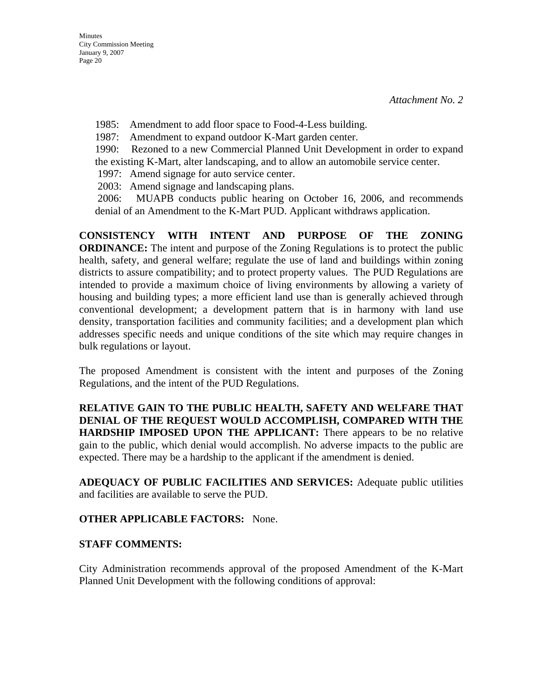1985: Amendment to add floor space to Food-4-Less building.

1987: Amendment to expand outdoor K-Mart garden center.

1990: Rezoned to a new Commercial Planned Unit Development in order to expand the existing K-Mart, alter landscaping, and to allow an automobile service center.

1997: Amend signage for auto service center.

2003: Amend signage and landscaping plans.

 2006: MUAPB conducts public hearing on October 16, 2006, and recommends denial of an Amendment to the K-Mart PUD. Applicant withdraws application.

**CONSISTENCY WITH INTENT AND PURPOSE OF THE ZONING ORDINANCE:** The intent and purpose of the Zoning Regulations is to protect the public health, safety, and general welfare; regulate the use of land and buildings within zoning districts to assure compatibility; and to protect property values. The PUD Regulations are intended to provide a maximum choice of living environments by allowing a variety of housing and building types; a more efficient land use than is generally achieved through conventional development; a development pattern that is in harmony with land use density, transportation facilities and community facilities; and a development plan which addresses specific needs and unique conditions of the site which may require changes in bulk regulations or layout.

The proposed Amendment is consistent with the intent and purposes of the Zoning Regulations, and the intent of the PUD Regulations.

**RELATIVE GAIN TO THE PUBLIC HEALTH, SAFETY AND WELFARE THAT DENIAL OF THE REQUEST WOULD ACCOMPLISH, COMPARED WITH THE HARDSHIP IMPOSED UPON THE APPLICANT:** There appears to be no relative gain to the public, which denial would accomplish. No adverse impacts to the public are expected. There may be a hardship to the applicant if the amendment is denied.

**ADEQUACY OF PUBLIC FACILITIES AND SERVICES:** Adequate public utilities and facilities are available to serve the PUD.

#### **OTHER APPLICABLE FACTORS:** None.

#### **STAFF COMMENTS:**

City Administration recommends approval of the proposed Amendment of the K-Mart Planned Unit Development with the following conditions of approval: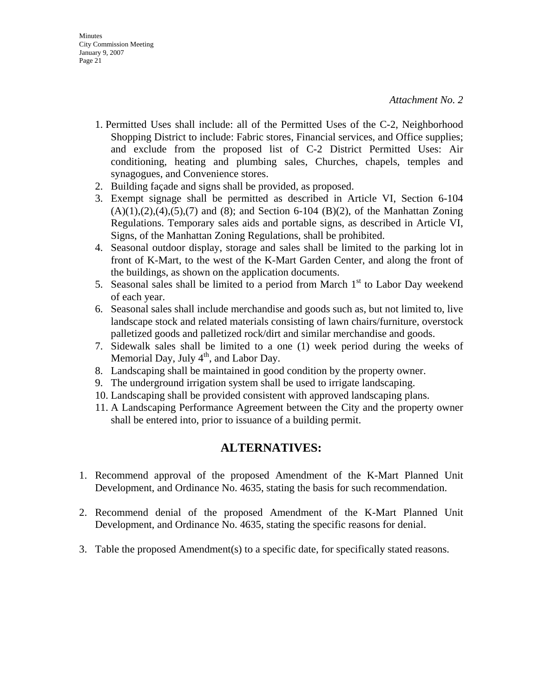- 1. Permitted Uses shall include: all of the Permitted Uses of the C-2, Neighborhood Shopping District to include: Fabric stores, Financial services, and Office supplies; and exclude from the proposed list of C-2 District Permitted Uses: Air conditioning, heating and plumbing sales, Churches, chapels, temples and synagogues, and Convenience stores.
- 2. Building façade and signs shall be provided, as proposed.
- 3. Exempt signage shall be permitted as described in Article VI, Section 6-104  $(A)(1), (2), (4), (5), (7)$  and (8); and Section 6-104 (B)(2), of the Manhattan Zoning Regulations. Temporary sales aids and portable signs, as described in Article VI, Signs, of the Manhattan Zoning Regulations, shall be prohibited.
- 4. Seasonal outdoor display, storage and sales shall be limited to the parking lot in front of K-Mart, to the west of the K-Mart Garden Center, and along the front of the buildings, as shown on the application documents.
- 5. Seasonal sales shall be limited to a period from March  $1<sup>st</sup>$  to Labor Day weekend of each year.
- 6. Seasonal sales shall include merchandise and goods such as, but not limited to, live landscape stock and related materials consisting of lawn chairs/furniture, overstock palletized goods and palletized rock/dirt and similar merchandise and goods.
- 7. Sidewalk sales shall be limited to a one (1) week period during the weeks of Memorial Day, July  $4<sup>th</sup>$ , and Labor Day.
- 8. Landscaping shall be maintained in good condition by the property owner.
- 9. The underground irrigation system shall be used to irrigate landscaping.
- 10. Landscaping shall be provided consistent with approved landscaping plans.
- 11. A Landscaping Performance Agreement between the City and the property owner shall be entered into, prior to issuance of a building permit.

## **ALTERNATIVES:**

- 1. Recommend approval of the proposed Amendment of the K-Mart Planned Unit Development, and Ordinance No. 4635, stating the basis for such recommendation.
- 2. Recommend denial of the proposed Amendment of the K-Mart Planned Unit Development, and Ordinance No. 4635, stating the specific reasons for denial.
- 3. Table the proposed Amendment(s) to a specific date, for specifically stated reasons.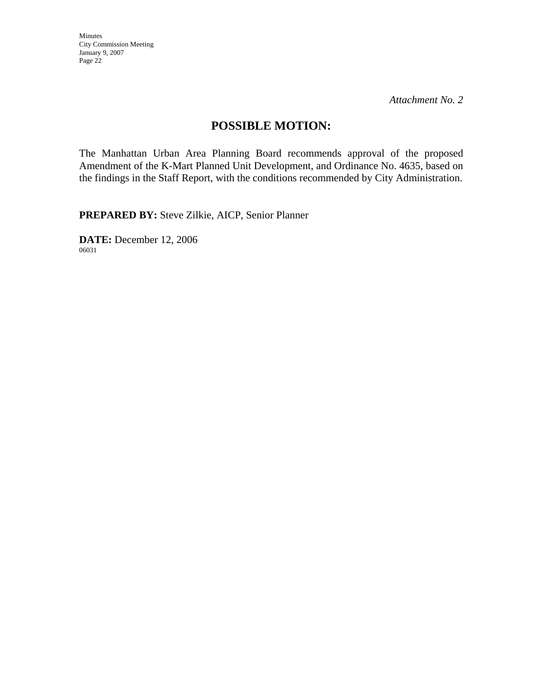*Attachment No. 2* 

## **POSSIBLE MOTION:**

The Manhattan Urban Area Planning Board recommends approval of the proposed Amendment of the K-Mart Planned Unit Development, and Ordinance No. 4635, based on the findings in the Staff Report, with the conditions recommended by City Administration.

**PREPARED BY:** Steve Zilkie, AICP, Senior Planner

**DATE:** December 12, 2006 06031